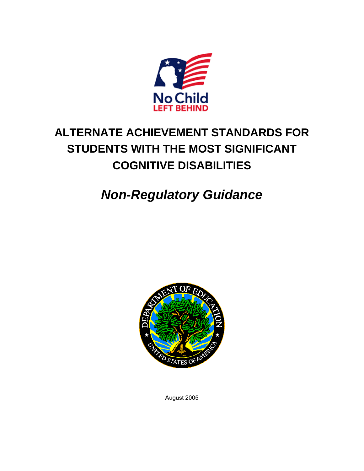

# **ALTERNATE ACHIEVEMENT STANDARDS FOR STUDENTS WITH THE MOST SIGNIFICANT COGNITIVE DISABILITIES**

# *Non-Regulatory Guidance*



August 2005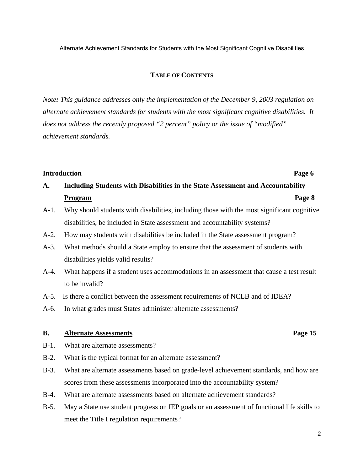Alternate Achievement Standards for Students with the Most Significant Cognitive Disabilities

#### **TABLE OF CONTENTS**

*Note: This guidance addresses only the implementation of the December 9, 2003 regulation on alternate achievement standards for students with the most significant cognitive disabilities. It does not address the recently proposed "2 percent" policy or the issue of "modified" achievement standards.* 

### **Introduction** Page 6

## **A. Including Students with Disabilities in the State Assessment and Accountability Program Page 8 Program**

- A-1. Why should students with disabilities, including those with the most significant cognitive disabilities, be included in State assessment and accountability systems?
- A-2. How may students with disabilities be included in the State assessment program?
- A-3. What methods should a State employ to ensure that the assessment of students with disabilities yields valid results?
- A-4. What happens if a student uses accommodations in an assessment that cause a test result to be invalid?
- A-5. Is there a conflict between the assessment requirements of NCLB and of IDEA?
- A-6. In what grades must States administer alternate assessments?

#### **B.** Alternate Assessments Page 15

- B-1. What are alternate assessments?
- B-2. What is the typical format for an alternate assessment?
- B-3. What are alternate assessments based on grade-level achievement standards, and how are scores from these assessments incorporated into the accountability system?
- B-4. What are alternate assessments based on alternate achievement standards?
- B-5. May a State use student progress on IEP goals or an assessment of functional life skills to meet the Title I regulation requirements?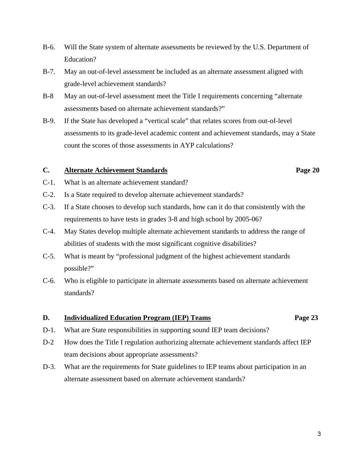- B-6. Will the State system of alternate assessments be reviewed by the U.S. Department of Education?
- B-7. May an out-of-level assessment be included as an alternate assessment aligned with grade-level achievement standards?
- B-8 May an out-of-level assessment meet the Title I requirements concerning "alternate assessments based on alternate achievement standards?"
- B-9. If the State has developed a "vertical scale" that relates scores from out-of-level assessments to its grade-level academic content and achievement standards, may a State count the scores of those assessments in AYP calculations?

### **C. Alternate Achievement Standards Page 20**

- C-1. What is an alternate achievement standard?
- C-2. Is a State required to develop alternate achievement standards?
- C-3. If a State chooses to develop such standards, how can it do that consistently with the requirements to have tests in grades 3-8 and high school by 2005-06?
- C-4. May States develop multiple alternate achievement standards to address the range of abilities of students with the most significant cognitive disabilities?
- C-5. What is meant by "professional judgment of the highest achievement standards possible?"
- C-6. Who is eligible to participate in alternate assessments based on alternate achievement standards?

#### **D. Individualized Education Program (IEP) Teams Page 23**

- D-1. What are State responsibilities in supporting sound IEP team decisions?
- D-2 How does the Title I regulation authorizing alternate achievement standards affect IEP team decisions about appropriate assessments?
- D-3. What are the requirements for State guidelines to IEP teams about participation in an alternate assessment based on alternate achievement standards?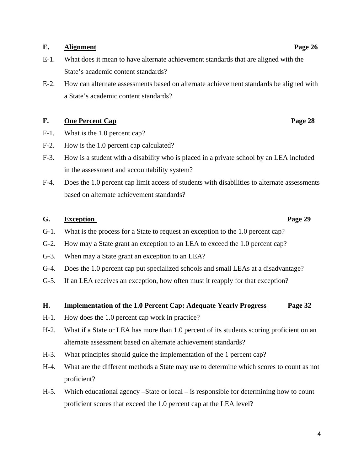### E. Alignment Page 26

- E-1. What does it mean to have alternate achievement standards that are aligned with the State's academic content standards?
- E-2. How can alternate assessments based on alternate achievement standards be aligned with a State's academic content standards?

### **F.** One Percent Cap Page 28

- F-1. What is the 1.0 percent cap?
- F-2. How is the 1.0 percent cap calculated?
- F-3. How is a student with a disability who is placed in a private school by an LEA included in the assessment and accountability system?
- F-4. Does the 1.0 percent cap limit access of students with disabilities to alternate assessments based on alternate achievement standards?

### **G. Exception Page 29**

- G-1. What is the process for a State to request an exception to the 1.0 percent cap?
- G-2. How may a State grant an exception to an LEA to exceed the 1.0 percent cap?
- G-3. When may a State grant an exception to an LEA?
- G-4. Does the 1.0 percent cap put specialized schools and small LEAs at a disadvantage?
- G-5. If an LEA receives an exception, how often must it reapply for that exception?

#### **H. Implementation of the 1.0 Percent Cap: Adequate Yearly Progress Page 32**

- H-1. How does the 1.0 percent cap work in practice?
- H-2. What if a State or LEA has more than 1.0 percent of its students scoring proficient on an alternate assessment based on alternate achievement standards?
- H-3. What principles should guide the implementation of the 1 percent cap?
- H-4. What are the different methods a State may use to determine which scores to count as not proficient?
- H-5. Which educational agency –State or local is responsible for determining how to count proficient scores that exceed the 1.0 percent cap at the LEA level?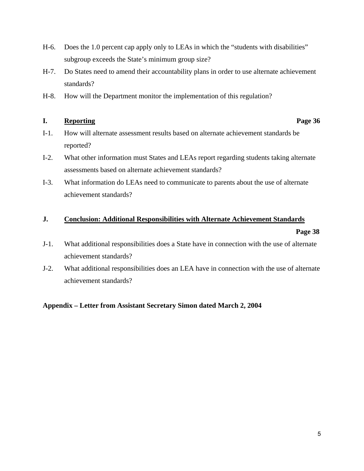- H-6. Does the 1.0 percent cap apply only to LEAs in which the "students with disabilities" subgroup exceeds the State's minimum group size?
- H-7. Do States need to amend their accountability plans in order to use alternate achievement standards?
- H-8. How will the Department monitor the implementation of this regulation?

### **I.** Reporting Page 36

- 
- I-1. How will alternate assessment results based on alternate achievement standards be reported?
- I-2. What other information must States and LEAs report regarding students taking alternate assessments based on alternate achievement standards?
- I-3. What information do LEAs need to communicate to parents about the use of alternate achievement standards?

### **J. Conclusion: Additional Responsibilities with Alternate Achievement Standards**

#### **Page 38**

- J-1. What additional responsibilities does a State have in connection with the use of alternate achievement standards?
- J-2. What additional responsibilities does an LEA have in connection with the use of alternate achievement standards?

### **Appendix – Letter from Assistant Secretary Simon dated March 2, 2004**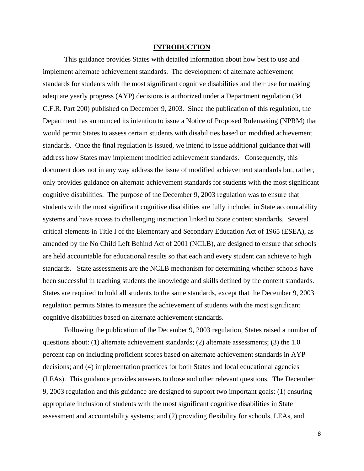#### **INTRODUCTION**

This guidance provides States with detailed information about how best to use and implement alternate achievement standards. The development of alternate achievement standards for students with the most significant cognitive disabilities and their use for making adequate yearly progress (AYP) decisions is authorized under a Department regulation (34 C.F.R. Part 200) published on December 9, 2003. Since the publication of this regulation, the Department has announced its intention to issue a Notice of Proposed Rulemaking (NPRM) that would permit States to assess certain students with disabilities based on modified achievement standards. Once the final regulation is issued, we intend to issue additional guidance that will address how States may implement modified achievement standards. Consequently, this document does not in any way address the issue of modified achievement standards but, rather, only provides guidance on alternate achievement standards for students with the most significant cognitive disabilities. The purpose of the December 9, 2003 regulation was to ensure that students with the most significant cognitive disabilities are fully included in State accountability systems and have access to challenging instruction linked to State content standards. Several critical elements in Title I of the Elementary and Secondary Education Act of 1965 (ESEA), as amended by the No Child Left Behind Act of 2001 (NCLB), are designed to ensure that schools are held accountable for educational results so that each and every student can achieve to high standards. State assessments are the NCLB mechanism for determining whether schools have been successful in teaching students the knowledge and skills defined by the content standards. States are required to hold all students to the same standards, except that the December 9, 2003 regulation permits States to measure the achievement of students with the most significant cognitive disabilities based on alternate achievement standards.

Following the publication of the December 9, 2003 regulation, States raised a number of questions about: (1) alternate achievement standards; (2) alternate assessments; (3) the 1.0 percent cap on including proficient scores based on alternate achievement standards in AYP decisions; and (4) implementation practices for both States and local educational agencies (LEAs). This guidance provides answers to those and other relevant questions. The December 9, 2003 regulation and this guidance are designed to support two important goals: (1) ensuring appropriate inclusion of students with the most significant cognitive disabilities in State assessment and accountability systems; and (2) providing flexibility for schools, LEAs, and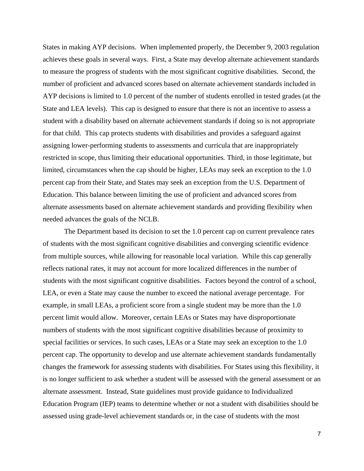States in making AYP decisions. When implemented properly, the December 9, 2003 regulation achieves these goals in several ways. First, a State may develop alternate achievement standards to measure the progress of students with the most significant cognitive disabilities. Second, the number of proficient and advanced scores based on alternate achievement standards included in AYP decisions is limited to 1.0 percent of the number of students enrolled in tested grades (at the State and LEA levels). This cap is designed to ensure that there is not an incentive to assess a student with a disability based on alternate achievement standards if doing so is not appropriate for that child. This cap protects students with disabilities and provides a safeguard against assigning lower-performing students to assessments and curricula that are inappropriately restricted in scope, thus limiting their educational opportunities*.* Third, in those legitimate, but limited, circumstances when the cap should be higher, LEAs may seek an exception to the 1.0 percent cap from their State, and States may seek an exception from the U.S. Department of Education. This balance between limiting the use of proficient and advanced scores from alternate assessments based on alternate achievement standards and providing flexibility when needed advances the goals of the NCLB.

The Department based its decision to set the 1.0 percent cap on current prevalence rates of students with the most significant cognitive disabilities and converging scientific evidence from multiple sources, while allowing for reasonable local variation. While this cap generally reflects national rates, it may not account for more localized differences in the number of students with the most significant cognitive disabilities. Factors beyond the control of a school, LEA, or even a State may cause the number to exceed the national average percentage. For example, in small LEAs, a proficient score from a single student may be more than the 1.0 percent limit would allow. Moreover, certain LEAs or States may have disproportionate numbers of students with the most significant cognitive disabilities because of proximity to special facilities or services. In such cases, LEAs or a State may seek an exception to the 1.0 percent cap. The opportunity to develop and use alternate achievement standards fundamentally changes the framework for assessing students with disabilities. For States using this flexibility, it is no longer sufficient to ask whether a student will be assessed with the general assessment or an alternate assessment. Instead, State guidelines must provide guidance to Individualized Education Program (IEP) teams to determine whether or not a student with disabilities should be assessed using grade-level achievement standards or, in the case of students with the most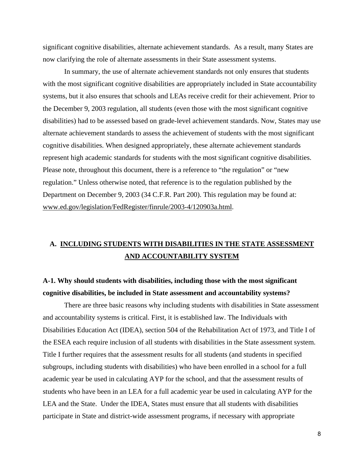significant cognitive disabilities, alternate achievement standards. As a result, many States are now clarifying the role of alternate assessments in their State assessment systems.

In summary, the use of alternate achievement standards not only ensures that students with the most significant cognitive disabilities are appropriately included in State accountability systems, but it also ensures that schools and LEAs receive credit for their achievement. Prior to the December 9, 2003 regulation, all students (even those with the most significant cognitive disabilities) had to be assessed based on grade-level achievement standards. Now, States may use alternate achievement standards to assess the achievement of students with the most significant cognitive disabilities. When designed appropriately, these alternate achievement standards represent high academic standards for students with the most significant cognitive disabilities. Please note, throughout this document, there is a reference to "the regulation" or "new regulation." Unless otherwise noted, that reference is to the regulation published by the Department on December 9, 2003 (34 C.F.R. Part 200). This regulation may be found at: [www.ed.gov/legislation/FedRegister/finrule/2003-4/120903a.html](http://www.ed.gov/legislation/FedRegister/finrule/2003-4/120903a.html).

### **A. INCLUDING STUDENTS WITH DISABILITIES IN THE STATE ASSESSMENT AND ACCOUNTABILITY SYSTEM**

### **A-1. Why should students with disabilities, including those with the most significant cognitive disabilities, be included in State assessment and accountability systems?**

There are three basic reasons why including students with disabilities in State assessment and accountability systems is critical. First, it is established law. The Individuals with Disabilities Education Act (IDEA), section 504 of the Rehabilitation Act of 1973, and Title I of the ESEA each require inclusion of all students with disabilities in the State assessment system. Title I further requires that the assessment results for all students (and students in specified subgroups, including students with disabilities) who have been enrolled in a school for a full academic year be used in calculating AYP for the school, and that the assessment results of students who have been in an LEA for a full academic year be used in calculating AYP for the LEA and the State. Under the IDEA, States must ensure that all students with disabilities participate in State and district-wide assessment programs, if necessary with appropriate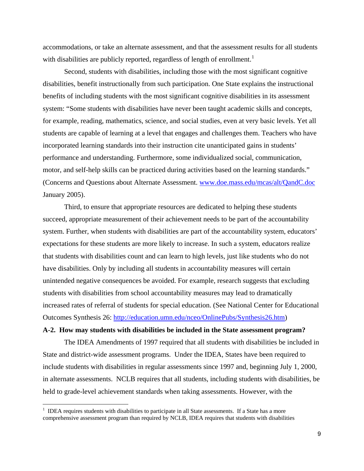accommodations, or take an alternate assessment, and that the assessment results for all students with disabilities are publicly reported, regardless of length of enrollment.<sup>[1](#page-8-0)</sup>

Second, students with disabilities, including those with the most significant cognitive disabilities, benefit instructionally from such participation. One State explains the instructional benefits of including students with the most significant cognitive disabilities in its assessment system: "Some students with disabilities have never been taught academic skills and concepts, for example, reading, mathematics, science, and social studies, even at very basic levels. Yet all students are capable of learning at a level that engages and challenges them. Teachers who have incorporated learning standards into their instruction cite unanticipated gains in students' performance and understanding. Furthermore, some individualized social, communication, motor, and self-help skills can be practiced during activities based on the learning standards." (Concerns and Questions about Alternate Assessment. [www.doe.mass.edu/mcas/alt/QandC.doc](http://www.doe.mass.edu/mcas/alt/QandC.doc) January 2005).

Third, to ensure that appropriate resources are dedicated to helping these students succeed, appropriate measurement of their achievement needs to be part of the accountability system. Further, when students with disabilities are part of the accountability system, educators' expectations for these students are more likely to increase. In such a system, educators realize that students with disabilities count and can learn to high levels, just like students who do not have disabilities. Only by including all students in accountability measures will certain unintended negative consequences be avoided. For example, research suggests that excluding students with disabilities from school accountability measures may lead to dramatically increased rates of referral of students for special education. (See National Center for Educational Outcomes Synthesis 26:<http://education.umn.edu/nceo/OnlinePubs/Synthesis26.htm>)

### **A-2. How may students with disabilities be included in the State assessment program?**

The IDEA Amendments of 1997 required that all students with disabilities be included in State and district-wide assessment programs. Under the IDEA, States have been required to include students with disabilities in regular assessments since 1997 and, beginning July 1, 2000, in alternate assessments. NCLB requires that all students, including students with disabilities, be held to grade-level achievement standards when taking assessments. However, with the

 $\overline{a}$ 

<span id="page-8-0"></span> $1$  IDEA requires students with disabilities to participate in all State assessments. If a State has a more comprehensive assessment program than required by NCLB, IDEA requires that students with disabilities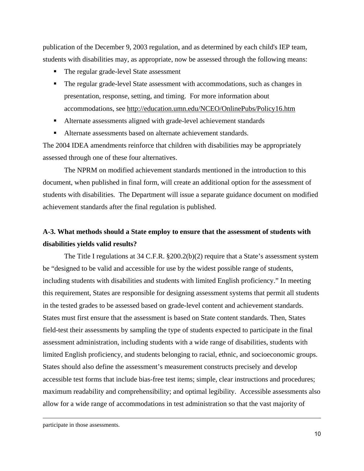publication of the December 9, 2003 regulation, and as determined by each child's IEP team, students with disabilities may, as appropriate, now be assessed through the following means:

- The regular grade-level State assessment
- The regular grade-level State assessment with accommodations, such as changes in presentation, response, setting, and timing. For more information about accommodations, see http://education.umn.edu/NCEO/OnlinePubs/Policy16.htm
- Alternate assessments aligned with grade-level achievement standards
- Alternate assessments based on alternate achievement standards.

The 2004 IDEA amendments reinforce that children with disabilities may be appropriately assessed through one of these four alternatives.

 The NPRM on modified achievement standards mentioned in the introduction to this document, when published in final form, will create an additional option for the assessment of students with disabilities. The Department will issue a separate guidance document on modified achievement standards after the final regulation is published.

### **A-3. What methods should a State employ to ensure that the assessment of students with disabilities yields valid results?**

The Title I regulations at 34 C.F.R. §200.2(b)(2) require that a State's assessment system be "designed to be valid and accessible for use by the widest possible range of students, including students with disabilities and students with limited English proficiency." In meeting this requirement, States are responsible for designing assessment systems that permit all students in the tested grades to be assessed based on grade-level content and achievement standards. States must first ensure that the assessment is based on State content standards. Then, States field-test their assessments by sampling the type of students expected to participate in the final assessment administration, including students with a wide range of disabilities, students with limited English proficiency, and students belonging to racial, ethnic, and socioeconomic groups. States should also define the assessment's measurement constructs precisely and develop accessible test forms that include bias-free test items; simple, clear instructions and procedures; maximum readability and comprehensibility; and optimal legibility. Accessible assessments also allow for a wide range of accommodations in test administration so that the vast majority of

participate in those assessments.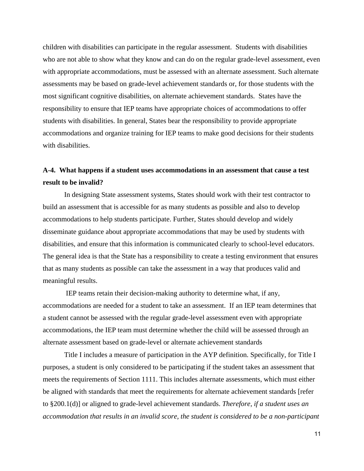children with disabilities can participate in the regular assessment. Students with disabilities who are not able to show what they know and can do on the regular grade-level assessment, even with appropriate accommodations, must be assessed with an alternate assessment. Such alternate assessments may be based on grade-level achievement standards or, for those students with the most significant cognitive disabilities, on alternate achievement standards. States have the responsibility to ensure that IEP teams have appropriate choices of accommodations to offer students with disabilities. In general, States bear the responsibility to provide appropriate accommodations and organize training for IEP teams to make good decisions for their students with disabilities.

### **A-4. What happens if a student uses accommodations in an assessment that cause a test result to be invalid?**

In designing State assessment systems, States should work with their test contractor to build an assessment that is accessible for as many students as possible and also to develop accommodations to help students participate. Further, States should develop and widely disseminate guidance about appropriate accommodations that may be used by students with disabilities, and ensure that this information is communicated clearly to school-level educators. The general idea is that the State has a responsibility to create a testing environment that ensures that as many students as possible can take the assessment in a way that produces valid and meaningful results.

 IEP teams retain their decision-making authority to determine what, if any, accommodations are needed for a student to take an assessment. If an IEP team determines that a student cannot be assessed with the regular grade-level assessment even with appropriate accommodations, the IEP team must determine whether the child will be assessed through an alternate assessment based on grade-level or alternate achievement standards

 Title I includes a measure of participation in the AYP definition. Specifically, for Title I purposes, a student is only considered to be participating if the student takes an assessment that meets the requirements of Section 1111. This includes alternate assessments, which must either be aligned with standards that meet the requirements for alternate achievement standards [refer to §200.1(d)] or aligned to grade-level achievement standards. *Therefore, if a student uses an accommodation that results in an invalid score, the student is considered to be a non-participant*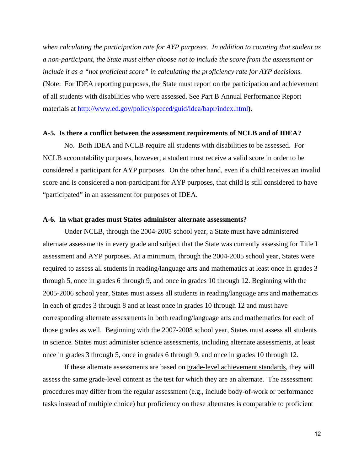*when calculating the participation rate for AYP purposes. In addition to counting that student as a non-participant, the State must either choose not to include the score from the assessment or include it as a "not proficient score" in calculating the proficiency rate for AYP decisions.*  (Note: For IDEA reporting purposes, the State must report on the participation and achievement of all students with disabilities who were assessed. See Part B Annual Performance Report materials at <http://www.ed.gov/policy/speced/guid/idea/bapr/index.html>**).** 

#### **A-5. Is there a conflict between the assessment requirements of NCLB and of IDEA?**

No. Both IDEA and NCLB require all students with disabilities to be assessed. For NCLB accountability purposes, however, a student must receive a valid score in order to be considered a participant for AYP purposes. On the other hand, even if a child receives an invalid score and is considered a non-participant for AYP purposes, that child is still considered to have "participated" in an assessment for purposes of IDEA.

#### **A-6. In what grades must States administer alternate assessments?**

Under NCLB, through the 2004-2005 school year, a State must have administered alternate assessments in every grade and subject that the State was currently assessing for Title I assessment and AYP purposes. At a minimum, through the 2004-2005 school year, States were required to assess all students in reading/language arts and mathematics at least once in grades 3 through 5, once in grades 6 through 9, and once in grades 10 through 12. Beginning with the 2005-2006 school year, States must assess all students in reading/language arts and mathematics in each of grades 3 through 8 and at least once in grades 10 through 12 and must have corresponding alternate assessments in both reading/language arts and mathematics for each of those grades as well. Beginning with the 2007-2008 school year, States must assess all students in science. States must administer science assessments, including alternate assessments, at least once in grades 3 through 5, once in grades 6 through 9, and once in grades 10 through 12.

If these alternate assessments are based on grade-level achievement standards, they will assess the same grade-level content as the test for which they are an alternate. The assessment procedures may differ from the regular assessment (e.g., include body-of-work or performance tasks instead of multiple choice) but proficiency on these alternates is comparable to proficient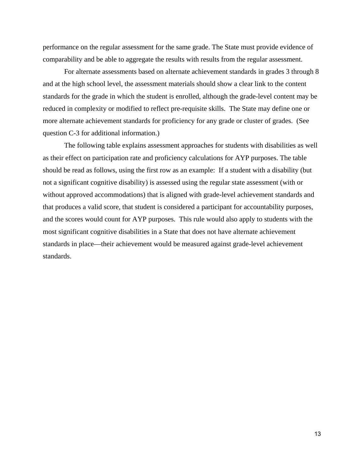performance on the regular assessment for the same grade. The State must provide evidence of comparability and be able to aggregate the results with results from the regular assessment.

For alternate assessments based on alternate achievement standards in grades 3 through 8 and at the high school level, the assessment materials should show a clear link to the content standards for the grade in which the student is enrolled, although the grade-level content may be reduced in complexity or modified to reflect pre-requisite skills. The State may define one or more alternate achievement standards for proficiency for any grade or cluster of grades. (See question C-3 for additional information.)

The following table explains assessment approaches for students with disabilities as well as their effect on participation rate and proficiency calculations for AYP purposes. The table should be read as follows, using the first row as an example: If a student with a disability (but not a significant cognitive disability) is assessed using the regular state assessment (with or without approved accommodations) that is aligned with grade-level achievement standards and that produces a valid score, that student is considered a participant for accountability purposes, and the scores would count for AYP purposes. This rule would also apply to students with the most significant cognitive disabilities in a State that does not have alternate achievement standards in place—their achievement would be measured against grade-level achievement standards.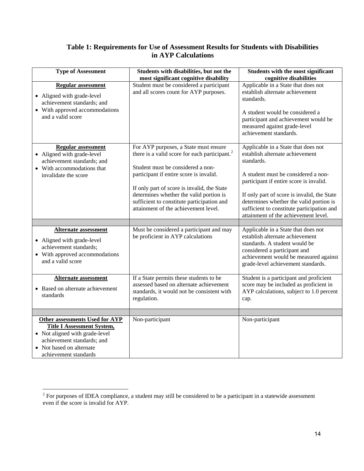### **Table 1: Requirements for Use of Assessment Results for Students with Disabilities in AYP Calculations**

| <b>Type of Assessment</b>                                                                                                                                                                       | Students with disabilities, but not the<br>most significant cognitive disability                                                                                                                                                                                                                                                                                   | Students with the most significant<br>cognitive disabilities                                                                                                                                                                                                                                                                                           |
|-------------------------------------------------------------------------------------------------------------------------------------------------------------------------------------------------|--------------------------------------------------------------------------------------------------------------------------------------------------------------------------------------------------------------------------------------------------------------------------------------------------------------------------------------------------------------------|--------------------------------------------------------------------------------------------------------------------------------------------------------------------------------------------------------------------------------------------------------------------------------------------------------------------------------------------------------|
| <b>Regular assessment</b><br>• Aligned with grade-level<br>achievement standards; and<br>• With approved accommodations<br>and a valid score                                                    | Student must be considered a participant<br>and all scores count for AYP purposes.                                                                                                                                                                                                                                                                                 | Applicable in a State that does not<br>establish alternate achievement<br>standards.<br>A student would be considered a<br>participant and achievement would be<br>measured against grade-level<br>achievement standards.                                                                                                                              |
| <b>Regular assessment</b><br>• Aligned with grade-level<br>achievement standards; and<br>• With accommodations that<br>invalidate the score                                                     | For AYP purposes, a State must ensure<br>there is a valid score for each participant. <sup>2</sup><br>Student must be considered a non-<br>participant if entire score is invalid.<br>If only part of score is invalid, the State<br>determines whether the valid portion is<br>sufficient to constitute participation and<br>attainment of the achievement level. | Applicable in a State that does not<br>establish alternate achievement<br>standards.<br>A student must be considered a non-<br>participant if entire score is invalid.<br>If only part of score is invalid, the State<br>determines whether the valid portion is<br>sufficient to constitute participation and<br>attainment of the achievement level. |
|                                                                                                                                                                                                 |                                                                                                                                                                                                                                                                                                                                                                    |                                                                                                                                                                                                                                                                                                                                                        |
| <b>Alternate assessment</b><br>• Aligned with grade-level<br>achievement standards;<br>• With approved accommodations<br>and a valid score                                                      | Must be considered a participant and may<br>be proficient in AYP calculations                                                                                                                                                                                                                                                                                      | Applicable in a State that does not<br>establish alternate achievement<br>standards. A student would be<br>considered a participant and<br>achievement would be measured against<br>grade-level achievement standards.                                                                                                                                 |
| <b>Alternate assessment</b><br>• Based on alternate achievement<br>standards                                                                                                                    | If a State permits these students to be<br>assessed based on alternate achievement<br>standards, it would not be consistent with<br>regulation.                                                                                                                                                                                                                    | Student is a participant and proficient<br>score may be included as proficient in<br>AYP calculations, subject to 1.0 percent<br>cap.                                                                                                                                                                                                                  |
|                                                                                                                                                                                                 |                                                                                                                                                                                                                                                                                                                                                                    |                                                                                                                                                                                                                                                                                                                                                        |
| <b>Other assessments Used for AYP</b><br><b>Title I Assessment System,</b><br>• Not aligned with grade-level<br>achievement standards; and<br>• Not based on alternate<br>achievement standards | Non-participant                                                                                                                                                                                                                                                                                                                                                    | Non-participant                                                                                                                                                                                                                                                                                                                                        |

<span id="page-13-0"></span><sup>&</sup>lt;sup>2</sup> For purposes of IDEA compliance, a student may still be considered to be a participant in a statewide assessment even if the score is invalid for AYP.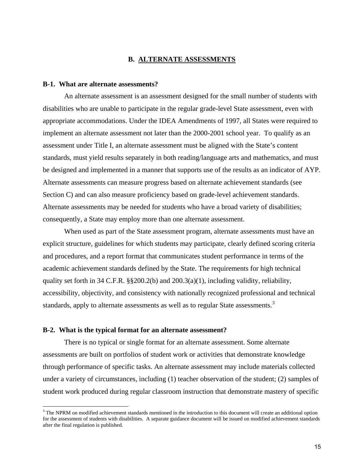#### **B. ALTERNATE ASSESSMENTS**

#### **B-1. What are alternate assessments?**

An alternate assessment is an assessment designed for the small number of students with disabilities who are unable to participate in the regular grade-level State assessment, even with appropriate accommodations. Under the IDEA Amendments of 1997, all States were required to implement an alternate assessment not later than the 2000-2001 school year. To qualify as an assessment under Title I, an alternate assessment must be aligned with the State's content standards, must yield results separately in both reading/language arts and mathematics, and must be designed and implemented in a manner that supports use of the results as an indicator of AYP. Alternate assessments can measure progress based on alternate achievement standards (see Section C) and can also measure proficiency based on grade-level achievement standards. Alternate assessments may be needed for students who have a broad variety of disabilities; consequently, a State may employ more than one alternate assessment.

When used as part of the State assessment program, alternate assessments must have an explicit structure, guidelines for which students may participate, clearly defined scoring criteria and procedures, and a report format that communicates student performance in terms of the academic achievement standards defined by the State. The requirements for high technical quality set forth in 34 C.F.R. §§200.2(b) and 200.3(a)(1), including validity, reliability, accessibility, objectivity, and consistency with nationally recognized professional and technical standards, apply to alternate assessments as well as to regular State assessments.<sup>[3](#page-14-0)</sup>

#### **B-2. What is the typical format for an alternate assessment?**

 $\overline{a}$ 

There is no typical or single format for an alternate assessment. Some alternate assessments are built on portfolios of student work or activities that demonstrate knowledge through performance of specific tasks. An alternate assessment may include materials collected under a variety of circumstances, including (1) teacher observation of the student; (2) samples of student work produced during regular classroom instruction that demonstrate mastery of specific

<span id="page-14-0"></span> $3$  The NPRM on modified achievement standards mentioned in the introduction to this document will create an additional option for the assessment of students with disabilities. A separate guidance document will be issued on modified achievement standards after the final regulation is published.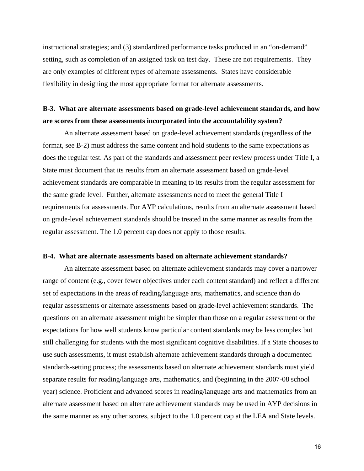instructional strategies; and (3) standardized performance tasks produced in an "on-demand" setting, such as completion of an assigned task on test day. These are not requirements. They are only examples of different types of alternate assessments. States have considerable flexibility in designing the most appropriate format for alternate assessments.

### **B-3. What are alternate assessments based on grade-level achievement standards, and how are scores from these assessments incorporated into the accountability system?**

An alternate assessment based on grade-level achievement standards (regardless of the format, see B-2) must address the same content and hold students to the same expectations as does the regular test. As part of the standards and assessment peer review process under Title I, a State must document that its results from an alternate assessment based on grade-level achievement standards are comparable in meaning to its results from the regular assessment for the same grade level. Further, alternate assessments need to meet the general Title I requirements for assessments. For AYP calculations, results from an alternate assessment based on grade-level achievement standards should be treated in the same manner as results from the regular assessment. The 1.0 percent cap does not apply to those results.

### **B-4. What are alternate assessments based on alternate achievement standards?**

An alternate assessment based on alternate achievement standards may cover a narrower range of content (e.g., cover fewer objectives under each content standard) and reflect a different set of expectations in the areas of reading/language arts, mathematics, and science than do regular assessments or alternate assessments based on grade-level achievement standards. The questions on an alternate assessment might be simpler than those on a regular assessment or the expectations for how well students know particular content standards may be less complex but still challenging for students with the most significant cognitive disabilities. If a State chooses to use such assessments, it must establish alternate achievement standards through a documented standards-setting process; the assessments based on alternate achievement standards must yield separate results for reading/language arts, mathematics, and (beginning in the 2007-08 school year) science. Proficient and advanced scores in reading/language arts and mathematics from an alternate assessment based on alternate achievement standards may be used in AYP decisions in the same manner as any other scores, subject to the 1.0 percent cap at the LEA and State levels.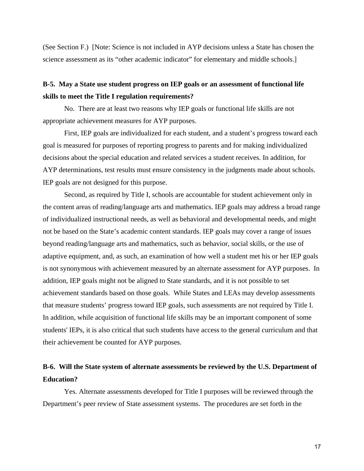(See Section F.) [Note: Science is not included in AYP decisions unless a State has chosen the science assessment as its "other academic indicator" for elementary and middle schools.]

### **B-5. May a State use student progress on IEP goals or an assessment of functional life skills to meet the Title I regulation requirements?**

No. There are at least two reasons why IEP goals or functional life skills are not appropriate achievement measures for AYP purposes.

First, IEP goals are individualized for each student, and a student's progress toward each goal is measured for purposes of reporting progress to parents and for making individualized decisions about the special education and related services a student receives. In addition, for AYP determinations, test results must ensure consistency in the judgments made about schools. IEP goals are not designed for this purpose.

Second, as required by Title I, schools are accountable for student achievement only in the content areas of reading/language arts and mathematics. IEP goals may address a broad range of individualized instructional needs, as well as behavioral and developmental needs, and might not be based on the State's academic content standards. IEP goals may cover a range of issues beyond reading/language arts and mathematics, such as behavior, social skills, or the use of adaptive equipment, and, as such, an examination of how well a student met his or her IEP goals is not synonymous with achievement measured by an alternate assessment for AYP purposes. In addition, IEP goals might not be aligned to State standards, and it is not possible to set achievement standards based on those goals. While States and LEAs may develop assessments that measure students' progress toward IEP goals, such assessments are not required by Title I. In addition, while acquisition of functional life skills may be an important component of some students' IEPs, it is also critical that such students have access to the general curriculum and that their achievement be counted for AYP purposes.

### **B-6. Will the State system of alternate assessments be reviewed by the U.S. Department of Education?**

 Yes. Alternate assessments developed for Title I purposes will be reviewed through the Department's peer review of State assessment systems. The procedures are set forth in the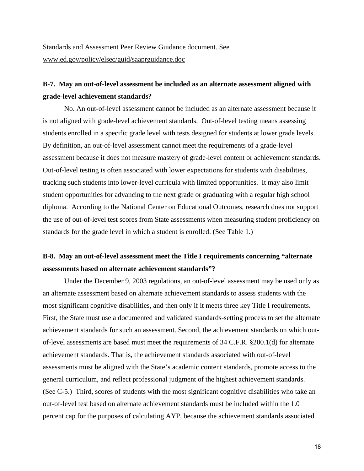### **B-7. May an out-of-level assessment be included as an alternate assessment aligned with grade-level achievement standards?**

 No. An out-of-level assessment cannot be included as an alternate assessment because it is not aligned with grade-level achievement standards. Out-of-level testing means assessing students enrolled in a specific grade level with tests designed for students at lower grade levels. By definition, an out-of-level assessment cannot meet the requirements of a grade-level assessment because it does not measure mastery of grade-level content or achievement standards. Out-of-level testing is often associated with lower expectations for students with disabilities, tracking such students into lower-level curricula with limited opportunities. It may also limit student opportunities for advancing to the next grade or graduating with a regular high school diploma. According to the National Center on Educational Outcomes, research does not support the use of out-of-level test scores from State assessments when measuring student proficiency on standards for the grade level in which a student is enrolled. (See Table 1.)

### **B-8. May an out-of-level assessment meet the Title I requirements concerning "alternate assessments based on alternate achievement standards"?**

Under the December 9, 2003 regulations, an out-of-level assessment may be used only as an alternate assessment based on alternate achievement standards to assess students with the most significant cognitive disabilities, and then only if it meets three key Title I requirements. First, the State must use a documented and validated standards-setting process to set the alternate achievement standards for such an assessment. Second, the achievement standards on which outof-level assessments are based must meet the requirements of 34 C.F.R. §200.1(d) for alternate achievement standards. That is, the achievement standards associated with out-of-level assessments must be aligned with the State's academic content standards, promote access to the general curriculum, and reflect professional judgment of the highest achievement standards. (See C-5.) Third, scores of students with the most significant cognitive disabilities who take an out-of-level test based on alternate achievement standards must be included within the 1.0 percent cap for the purposes of calculating AYP, because the achievement standards associated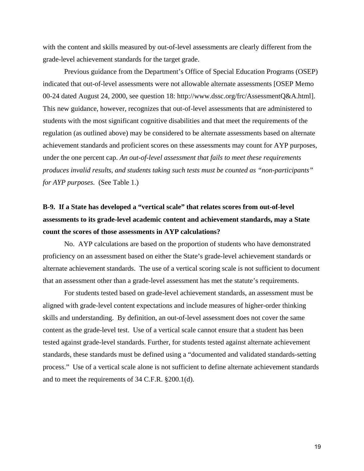with the content and skills measured by out-of-level assessments are clearly different from the grade-level achievement standards for the target grade.

Previous guidance from the Department's Office of Special Education Programs (OSEP) indicated that out-of-level assessments were not allowable alternate assessments [OSEP Memo 00-24 dated August 24, 2000, see question 18: http://www.dssc.org/frc/AssessmentQ&A.html]. This new guidance, however, recognizes that out-of-level assessments that are administered to students with the most significant cognitive disabilities and that meet the requirements of the regulation (as outlined above) may be considered to be alternate assessments based on alternate achievement standards and proficient scores on these assessments may count for AYP purposes, under the one percent cap. *An out-of-level assessment that fails to meet these requirements produces invalid results, and students taking such tests must be counted as "non-participants" for AYP purposes.*(See Table 1.)

## **B-9. If a State has developed a "vertical scale" that relates scores from out-of-level assessments to its grade-level academic content and achievement standards, may a State count the scores of those assessments in AYP calculations?**

No. AYP calculations are based on the proportion of students who have demonstrated proficiency on an assessment based on either the State's grade-level achievement standards or alternate achievement standards. The use of a vertical scoring scale is not sufficient to document that an assessment other than a grade-level assessment has met the statute's requirements.

For students tested based on grade-level achievement standards, an assessment must be aligned with grade-level content expectations and include measures of higher-order thinking skills and understanding. By definition, an out-of-level assessment does not cover the same content as the grade-level test. Use of a vertical scale cannot ensure that a student has been tested against grade-level standards. Further, for students tested against alternate achievement standards, these standards must be defined using a "documented and validated standards-setting process." Use of a vertical scale alone is not sufficient to define alternate achievement standards and to meet the requirements of 34 C.F.R. §200.1(d).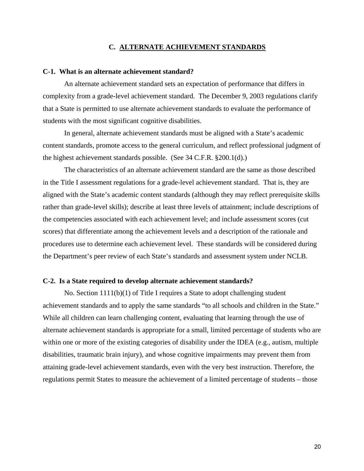#### **C. ALTERNATE ACHIEVEMENT STANDARDS**

#### **C-1. What is an alternate achievement standard?**

An alternate achievement standard sets an expectation of performance that differs in complexity from a grade-level achievement standard.The December 9, 2003 regulations clarify that a State is permitted to use alternate achievement standards to evaluate the performance of students with the most significant cognitive disabilities.

In general, alternate achievement standards must be aligned with a State's academic content standards, promote access to the general curriculum, and reflect professional judgment of the highest achievement standards possible. (See 34 C.F.R. §200.1(d).)

The characteristics of an alternate achievement standard are the same as those described in the Title I assessment regulations for a grade-level achievement standard. That is, they are aligned with the State's academic content standards (although they may reflect prerequisite skills rather than grade-level skills); describe at least three levels of attainment; include descriptions of the competencies associated with each achievement level; and include assessment scores (cut scores) that differentiate among the achievement levels and a description of the rationale and procedures use to determine each achievement level. These standards will be considered during the Department's peer review of each State's standards and assessment system under NCLB.

#### **C-2. Is a State required to develop alternate achievement standards?**

No. Section 1111(b)(1) of Title I requires a State to adopt challenging student achievement standards and to apply the same standards "to all schools and children in the State." While all children can learn challenging content, evaluating that learning through the use of alternate achievement standards is appropriate for a small, limited percentage of students who are within one or more of the existing categories of disability under the IDEA (e.g., autism, multiple disabilities, traumatic brain injury), and whose cognitive impairments may prevent them from attaining grade-level achievement standards, even with the very best instruction. Therefore, the regulations permit States to measure the achievement of a limited percentage of students – those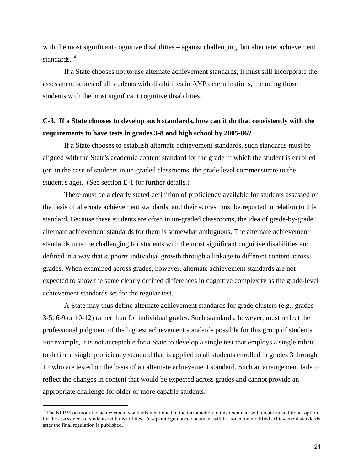with the most significant cognitive disabilities – against challenging, but alternate, achievement standards.<sup>[4](#page-20-0)</sup>

If a State chooses not to use alternate achievement standards, it must still incorporate the assessment scores of all students with disabilities in AYP determinations, including those students with the most significant cognitive disabilities.

### **C-3. If a State chooses to develop such standards, how can it do that consistently with the requirements to have tests in grades 3-8 and high school by 2005-06?**

If a State chooses to establish alternate achievement standards, such standards must be aligned with the State's academic content standard for the grade in which the student is enrolled (or, in the case of students in un-graded classrooms, the grade level commensurate to the student's age). (See section E-1 for further details.)

There must be a clearly stated definition of proficiency available for students assessed on the basis of alternate achievement standards, and their scores must be reported in relation to this standard. Because these students are often in un-graded classrooms, the idea of grade-by-grade alternate achievement standards for them is somewhat ambiguous. The alternate achievement standards must be challenging for students with the most significant cognitive disabilities and defined in a way that supports individual growth through a linkage to different content across grades. When examined across grades, however, alternate achievement standards are not expected to show the same clearly defined differences in cognitive complexity as the grade-level achievement standards set for the regular test.

A State may thus define alternate achievement standards for grade clusters (e.g., grades 3-5, 6-9 or 10-12) rather than for individual grades. Such standards, however, must reflect the professional judgment of the highest achievement standards possible for this group of students. For example, it is not acceptable for a State to develop a single test that employs a single rubric to define a single proficiency standard that is applied to all students enrolled in grades 3 through 12 who are tested on the basis of an alternate achievement standard. Such an arrangement fails to reflect the changes in content that would be expected across grades and cannot provide an appropriate challenge for older or more capable students.

 $\overline{a}$ 

<span id="page-20-0"></span><sup>&</sup>lt;sup>4</sup> The NPRM on modified achievement standards mentioned in the introduction to this document will create an additional option for the assessment of students with disabilities. A separate guidance document will be issued on modified achievement standards after the final regulation is published.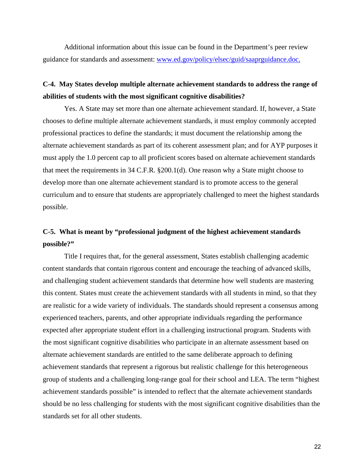Additional information about this issue can be found in the Department's peer review guidance for standards and assessment: [www.ed.gov/policy/elsec/guid/saaprguidance.doc.](http://www.ed.gov/policy/elsec/guid/saaprguidance.doc)

### **C-4. May States develop multiple alternate achievement standards to address the range of abilities of students with the most significant cognitive disabilities?**

Yes. A State may set more than one alternate achievement standard. If, however, a State chooses to define multiple alternate achievement standards, it must employ commonly accepted professional practices to define the standards; it must document the relationship among the alternate achievement standards as part of its coherent assessment plan; and for AYP purposes it must apply the 1.0 percent cap to all proficient scores based on alternate achievement standards that meet the requirements in 34 C.F.R. §200.1(d). One reason why a State might choose to develop more than one alternate achievement standard is to promote access to the general curriculum and to ensure that students are appropriately challenged to meet the highest standards possible.

### **C-5. What is meant by "professional judgment of the highest achievement standards possible?"**

Title I requires that, for the general assessment, States establish challenging academic content standards that contain rigorous content and encourage the teaching of advanced skills, and challenging student achievement standards that determine how well students are mastering this content. States must create the achievement standards with all students in mind, so that they are realistic for a wide variety of individuals. The standards should represent a consensus among experienced teachers, parents, and other appropriate individuals regarding the performance expected after appropriate student effort in a challenging instructional program. Students with the most significant cognitive disabilities who participate in an alternate assessment based on alternate achievement standards are entitled to the same deliberate approach to defining achievement standards that represent a rigorous but realistic challenge for this heterogeneous group of students and a challenging long-range goal for their school and LEA. The term "highest achievement standards possible" is intended to reflect that the alternate achievement standards should be no less challenging for students with the most significant cognitive disabilities than the standards set for all other students.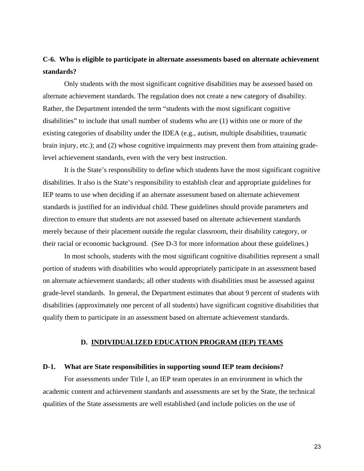### **C-6. Who is eligible to participate in alternate assessments based on alternate achievement standards?**

Only students with the most significant cognitive disabilities may be assessed based on alternate achievement standards. The regulation does not create a new category of disability. Rather, the Department intended the term "students with the most significant cognitive disabilities" to include that small number of students who are (1) within one or more of the existing categories of disability under the IDEA (e.g., autism, multiple disabilities, traumatic brain injury, etc.); and (2) whose cognitive impairments may prevent them from attaining gradelevel achievement standards, even with the very best instruction.

It is the State's responsibility to define which students have the most significant cognitive disabilities. It also is the State's responsibility to establish clear and appropriate guidelines for IEP teams to use when deciding if an alternate assessment based on alternate achievement standards is justified for an individual child. These guidelines should provide parameters and direction to ensure that students are not assessed based on alternate achievement standards merely because of their placement outside the regular classroom, their disability category, or their racial or economic background. (See D-3 for more information about these guidelines.)

In most schools, students with the most significant cognitive disabilities represent a small portion of students with disabilities who would appropriately participate in an assessment based on alternate achievement standards; all other students with disabilities must be assessed against grade-level standards. In general, the Department estimates that about 9 percent of students with disabilities (approximately one percent of all students) have significant cognitive disabilities that qualify them to participate in an assessment based on alternate achievement standards.

#### **D. INDIVIDUALIZED EDUCATION PROGRAM (IEP) TEAMS**

#### **D-1. What are State responsibilities in supporting sound IEP team decisions?**

For assessments under Title I, an IEP team operates in an environment in which the academic content and achievement standards and assessments are set by the State, the technical qualities of the State assessments are well established (and include policies on the use of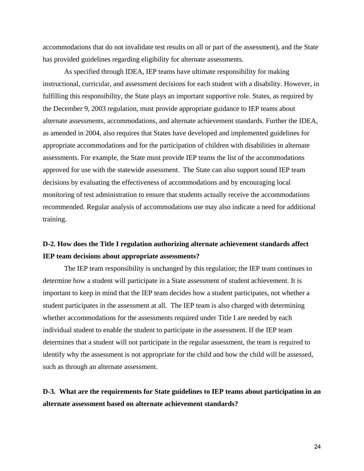accommodations that do not invalidate test results on all or part of the assessment), and the State has provided guidelines regarding eligibility for alternate assessments.

As specified through IDEA, IEP teams have ultimate responsibility for making instructional, curricular, and assessment decisions for each student with a disability. However, in fulfilling this responsibility, the State plays an important supportive role. States, as required by the December 9, 2003 regulation, must provide appropriate guidance to IEP teams about alternate assessments, accommodations, and alternate achievement standards. Further the IDEA, as amended in 2004, also requires that States have developed and implemented guidelines for appropriate accommodations and for the participation of children with disabilities in alternate assessments. For example, the State must provide IEP teams the list of the accommodations approved for use with the statewide assessment. The State can also support sound IEP team decisions by evaluating the effectiveness of accommodations and by encouraging local monitoring of test administration to ensure that students actually receive the accommodations recommended. Regular analysis of accommodations use may also indicate a need for additional training.

### **D-2. How does the Title I regulation authorizing alternate achievement standards affect IEP team decisions about appropriate assessments?**

The IEP team responsibility is unchanged by this regulation; the IEP team continues to determine how a student will participate in a State assessment of student achievement. It is important to keep in mind that the IEP team decides how a student participates, not whether a student participates in the assessment at all. The IEP team is also charged with determining whether accommodations for the assessments required under Title I are needed by each individual student to enable the student to participate in the assessment. If the IEP team determines that a student will not participate in the regular assessment, the team is required to identify why the assessment is not appropriate for the child and how the child will be assessed, such as through an alternate assessment.

### **D-3. What are the requirements for State guidelines to IEP teams about participation in an alternate assessment based on alternate achievement standards?**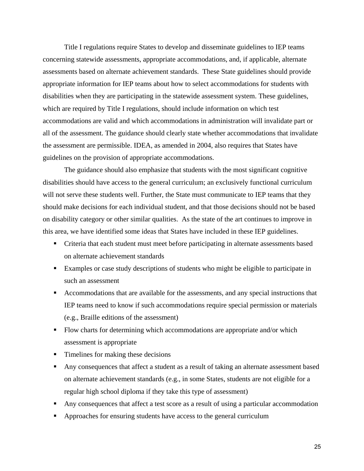Title I regulations require States to develop and disseminate guidelines to IEP teams concerning statewide assessments, appropriate accommodations, and, if applicable, alternate assessments based on alternate achievement standards. These State guidelines should provide appropriate information for IEP teams about how to select accommodations for students with disabilities when they are participating in the statewide assessment system. These guidelines, which are required by Title I regulations, should include information on which test accommodations are valid and which accommodations in administration will invalidate part or all of the assessment. The guidance should clearly state whether accommodations that invalidate the assessment are permissible. IDEA, as amended in 2004, also requires that States have guidelines on the provision of appropriate accommodations.

 The guidance should also emphasize that students with the most significant cognitive disabilities should have access to the general curriculum; an exclusively functional curriculum will not serve these students well. Further, the State must communicate to IEP teams that they should make decisions for each individual student, and that those decisions should not be based on disability category or other similar qualities. As the state of the art continues to improve in this area, we have identified some ideas that States have included in these IEP guidelines.

- Criteria that each student must meet before participating in alternate assessments based on alternate achievement standards
- Examples or case study descriptions of students who might be eligible to participate in such an assessment
- Accommodations that are available for the assessments, and any special instructions that IEP teams need to know if such accommodations require special permission or materials (e.g., Braille editions of the assessment)
- Flow charts for determining which accommodations are appropriate and/or which assessment is appropriate
- Timelines for making these decisions
- Any consequences that affect a student as a result of taking an alternate assessment based on alternate achievement standards (e.g., in some States, students are not eligible for a regular high school diploma if they take this type of assessment)
- Any consequences that affect a test score as a result of using a particular accommodation
- **•** Approaches for ensuring students have access to the general curriculum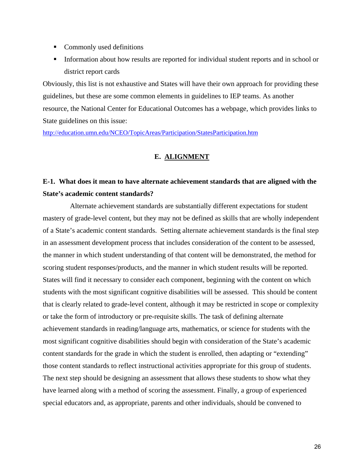- Commonly used definitions
- Information about how results are reported for individual student reports and in school or district report cards

Obviously, this list is not exhaustive and States will have their own approach for providing these guidelines, but these are some common elements in guidelines to IEP teams. As another resource, the National Center for Educational Outcomes has a webpage, which provides links to State guidelines on this issue:

<http://education.umn.edu/NCEO/TopicAreas/Participation/StatesParticipation.htm>

### **E. ALIGNMENT**

## **E-1. What does it mean to have alternate achievement standards that are aligned with the State's academic content standards?**

 Alternate achievement standards are substantially different expectations for student mastery of grade-level content, but they may not be defined as skills that are wholly independent of a State's academic content standards. Setting alternate achievement standards is the final step in an assessment development process that includes consideration of the content to be assessed, the manner in which student understanding of that content will be demonstrated, the method for scoring student responses/products, and the manner in which student results will be reported. States will find it necessary to consider each component, beginning with the content on which students with the most significant cognitive disabilities will be assessed. This should be content that is clearly related to grade-level content, although it may be restricted in scope or complexity or take the form of introductory or pre-requisite skills. The task of defining alternate achievement standards in reading/language arts, mathematics, or science for students with the most significant cognitive disabilities should begin with consideration of the State's academic content standards for the grade in which the student is enrolled, then adapting or "extending" those content standards to reflect instructional activities appropriate for this group of students. The next step should be designing an assessment that allows these students to show what they have learned along with a method of scoring the assessment. Finally, a group of experienced special educators and, as appropriate, parents and other individuals, should be convened to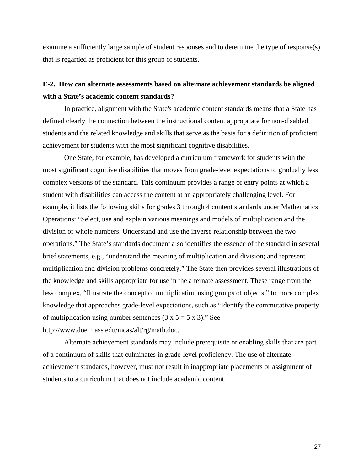examine a sufficiently large sample of student responses and to determine the type of response(s) that is regarded as proficient for this group of students.

### **E-2. How can alternate assessments based on alternate achievement standards be aligned with a State's academic content standards?**

In practice, alignment with the State's academic content standards means that a State has defined clearly the connection between the instructional content appropriate for non-disabled students and the related knowledge and skills that serve as the basis for a definition of proficient achievement for students with the most significant cognitive disabilities.

One State, for example, has developed a curriculum framework for students with the most significant cognitive disabilities that moves from grade-level expectations to gradually less complex versions of the standard. This continuum provides a range of entry points at which a student with disabilities can access the content at an appropriately challenging level. For example, it lists the following skills for grades 3 through 4 content standards under Mathematics Operations: "Select, use and explain various meanings and models of multiplication and the division of whole numbers. Understand and use the inverse relationship between the two operations." The State's standards document also identifies the essence of the standard in several brief statements, e.g., "understand the meaning of multiplication and division; and represent multiplication and division problems concretely." The State then provides several illustrations of the knowledge and skills appropriate for use in the alternate assessment. These range from the less complex, "Illustrate the concept of multiplication using groups of objects," to more complex knowledge that approaches grade-level expectations, such as "Identify the commutative property of multiplication using number sentences  $(3 \times 5 = 5 \times 3)$ ." See [http://www.doe.mass.edu/mcas/alt/rg/math.doc.](http://www.doe.mass.edu/mcas/alt/rg/math.doc)

Alternate achievement standards may include prerequisite or enabling skills that are part of a continuum of skills that culminates in grade-level proficiency. The use of alternate achievement standards, however, must not result in inappropriate placements or assignment of students to a curriculum that does not include academic content.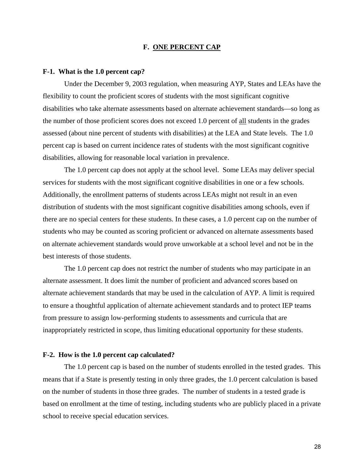#### **F. ONE PERCENT CAP**

#### **F-1. What is the 1.0 percent cap?**

Under the December 9, 2003 regulation, when measuring AYP, States and LEAs have the flexibility to count the proficient scores of students with the most significant cognitive disabilities who take alternate assessments based on alternate achievement standards—so long as the number of those proficient scores does not exceed 1.0 percent of all students in the grades assessed (about nine percent of students with disabilities) at the LEA and State levels. The 1.0 percent cap is based on current incidence rates of students with the most significant cognitive disabilities, allowing for reasonable local variation in prevalence.

The 1.0 percent cap does not apply at the school level. Some LEAs may deliver special services for students with the most significant cognitive disabilities in one or a few schools. Additionally, the enrollment patterns of students across LEAs might not result in an even distribution of students with the most significant cognitive disabilities among schools, even if there are no special centers for these students. In these cases, a 1.0 percent cap on the number of students who may be counted as scoring proficient or advanced on alternate assessments based on alternate achievement standards would prove unworkable at a school level and not be in the best interests of those students.

The 1.0 percent cap does not restrict the number of students who may participate in an alternate assessment. It does limit the number of proficient and advanced scores based on alternate achievement standards that may be used in the calculation of AYP. A limit is required to ensure a thoughtful application of alternate achievement standards and to protect IEP teams from pressure to assign low-performing students to assessments and curricula that are inappropriately restricted in scope, thus limiting educational opportunity for these students.

#### **F-2. How is the 1.0 percent cap calculated?**

The 1.0 percent cap is based on the number of students enrolled in the tested grades. This means that if a State is presently testing in only three grades, the 1.0 percent calculation is based on the number of students in those three grades. The number of students in a tested grade is based on enrollment at the time of testing, including students who are publicly placed in a private school to receive special education services.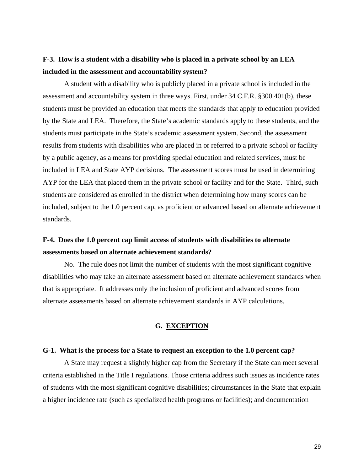### **F-3. How is a student with a disability who is placed in a private school by an LEA included in the assessment and accountability system?**

A student with a disability who is publicly placed in a private school is included in the assessment and accountability system in three ways. First, under 34 C.F.R. §300.401(b), these students must be provided an education that meets the standards that apply to education provided by the State and LEA. Therefore, the State's academic standards apply to these students, and the students must participate in the State's academic assessment system. Second, the assessment results from students with disabilities who are placed in or referred to a private school or facility by a public agency, as a means for providing special education and related services, must be included in LEA and State AYP decisions. The assessment scores must be used in determining AYP for the LEA that placed them in the private school or facility and for the State. Third, such students are considered as enrolled in the district when determining how many scores can be included, subject to the 1.0 percent cap, as proficient or advanced based on alternate achievement standards.

### **F-4. Does the 1.0 percent cap limit access of students with disabilities to alternate assessments based on alternate achievement standards?**

No. The rule does not limit the number of students with the most significant cognitive disabilities who may take an alternate assessment based on alternate achievement standards when that is appropriate. It addresses only the inclusion of proficient and advanced scores from alternate assessments based on alternate achievement standards in AYP calculations.

#### **G. EXCEPTION**

#### **G-1. What is the process for a State to request an exception to the 1.0 percent cap?**

A State may request a slightly higher cap from the Secretary if the State can meet several criteria established in the Title I regulations. Those criteria address such issues as incidence rates of students with the most significant cognitive disabilities; circumstances in the State that explain a higher incidence rate (such as specialized health programs or facilities); and documentation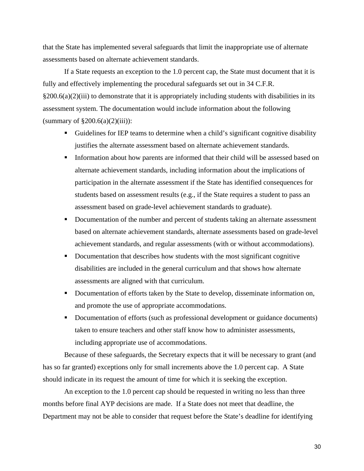that the State has implemented several safeguards that limit the inappropriate use of alternate assessments based on alternate achievement standards.

If a State requests an exception to the 1.0 percent cap, the State must document that it is fully and effectively implementing the procedural safeguards set out in 34 C.F.R.  $§200.6(a)(2)(iii)$  to demonstrate that it is appropriately including students with disabilities in its assessment system. The documentation would include information about the following (summary of  $\S 200.6(a)(2)(iii)$ ):

- Guidelines for IEP teams to determine when a child's significant cognitive disability justifies the alternate assessment based on alternate achievement standards.
- Information about how parents are informed that their child will be assessed based on alternate achievement standards, including information about the implications of participation in the alternate assessment if the State has identified consequences for students based on assessment results (e.g., if the State requires a student to pass an assessment based on grade-level achievement standards to graduate).
- Documentation of the number and percent of students taking an alternate assessment based on alternate achievement standards, alternate assessments based on grade-level achievement standards, and regular assessments (with or without accommodations).
- Documentation that describes how students with the most significant cognitive disabilities are included in the general curriculum and that shows how alternate assessments are aligned with that curriculum.
- Documentation of efforts taken by the State to develop, disseminate information on, and promote the use of appropriate accommodations.
- Documentation of efforts (such as professional development or guidance documents) taken to ensure teachers and other staff know how to administer assessments, including appropriate use of accommodations.

Because of these safeguards, the Secretary expects that it will be necessary to grant (and has so far granted) exceptions only for small increments above the 1.0 percent cap. A State should indicate in its request the amount of time for which it is seeking the exception.

 An exception to the 1.0 percent cap should be requested in writing no less than three months before final AYP decisions are made. If a State does not meet that deadline, the Department may not be able to consider that request before the State's deadline for identifying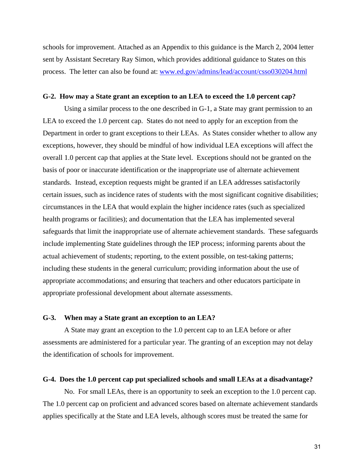schools for improvement. Attached as an Appendix to this guidance is the March 2, 2004 letter sent by Assistant Secretary Ray Simon, which provides additional guidance to States on this process. The letter can also be found at: [www.ed.gov/admins/lead/account/csso030204.html](http://www.ed.gov/admins/lead/account/csso030204.html)

#### **G-2. How may a State grant an exception to an LEA to exceed the 1.0 percent cap?**

Using a similar process to the one described in G-1, a State may grant permission to an LEA to exceed the 1.0 percent cap. States do not need to apply for an exception from the Department in order to grant exceptions to their LEAs. As States consider whether to allow any exceptions, however, they should be mindful of how individual LEA exceptions will affect the overall 1.0 percent cap that applies at the State level. Exceptions should not be granted on the basis of poor or inaccurate identification or the inappropriate use of alternate achievement standards. Instead, exception requests might be granted if an LEA addresses satisfactorily certain issues, such as incidence rates of students with the most significant cognitive disabilities; circumstances in the LEA that would explain the higher incidence rates (such as specialized health programs or facilities); and documentation that the LEA has implemented several safeguards that limit the inappropriate use of alternate achievement standards. These safeguards include implementing State guidelines through the IEP process; informing parents about the actual achievement of students; reporting, to the extent possible, on test-taking patterns; including these students in the general curriculum; providing information about the use of appropriate accommodations; and ensuring that teachers and other educators participate in appropriate professional development about alternate assessments.

#### **G-3. When may a State grant an exception to an LEA?**

A State may grant an exception to the 1.0 percent cap to an LEA before or after assessments are administered for a particular year. The granting of an exception may not delay the identification of schools for improvement.

#### **G-4. Does the 1.0 percent cap put specialized schools and small LEAs at a disadvantage?**

No. For small LEAs, there is an opportunity to seek an exception to the 1.0 percent cap. The 1.0 percent cap on proficient and advanced scores based on alternate achievement standards applies specifically at the State and LEA levels, although scores must be treated the same for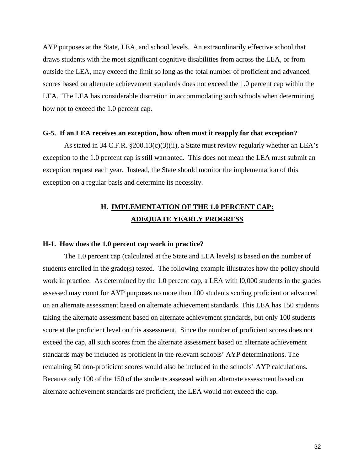AYP purposes at the State, LEA, and school levels. An extraordinarily effective school that draws students with the most significant cognitive disabilities from across the LEA, or from outside the LEA, may exceed the limit so long as the total number of proficient and advanced scores based on alternate achievement standards does not exceed the 1.0 percent cap within the LEA. The LEA has considerable discretion in accommodating such schools when determining how not to exceed the 1.0 percent cap.

#### **G-5. If an LEA receives an exception, how often must it reapply for that exception?**

As stated in 34 C.F.R. §200.13(c)(3)(ii), a State must review regularly whether an LEA's exception to the 1.0 percent cap is still warranted. This does not mean the LEA must submit an exception request each year. Instead, the State should monitor the implementation of this exception on a regular basis and determine its necessity.

### **H. IMPLEMENTATION OF THE 1.0 PERCENT CAP: ADEQUATE YEARLY PROGRESS**

#### **H-1. How does the 1.0 percent cap work in practice?**

The 1.0 percent cap (calculated at the State and LEA levels) is based on the number of students enrolled in the grade(s) tested. The following example illustrates how the policy should work in practice. As determined by the 1.0 percent cap, a LEA with l0,000 students in the grades assessed may count for AYP purposes no more than 100 students scoring proficient or advanced on an alternate assessment based on alternate achievement standards. This LEA has 150 students taking the alternate assessment based on alternate achievement standards, but only 100 students score at the proficient level on this assessment. Since the number of proficient scores does not exceed the cap, all such scores from the alternate assessment based on alternate achievement standards may be included as proficient in the relevant schools' AYP determinations. The remaining 50 non-proficient scores would also be included in the schools' AYP calculations. Because only 100 of the 150 of the students assessed with an alternate assessment based on alternate achievement standards are proficient, the LEA would not exceed the cap.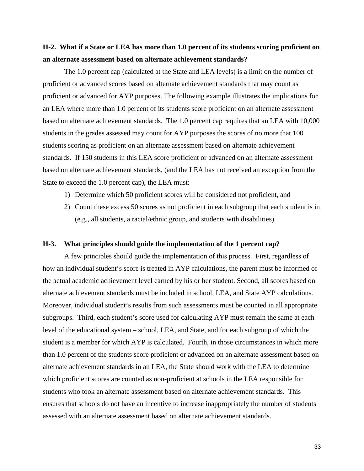### **H-2. What if a State or LEA has more than 1.0 percent of its students scoring proficient on an alternate assessment based on alternate achievement standards?**

The 1.0 percent cap (calculated at the State and LEA levels) is a limit on the number of proficient or advanced scores based on alternate achievement standards that may count as proficient or advanced for AYP purposes. The following example illustrates the implications for an LEA where more than 1.0 percent of its students score proficient on an alternate assessment based on alternate achievement standards. The 1.0 percent cap requires that an LEA with 10,000 students in the grades assessed may count for AYP purposes the scores of no more that 100 students scoring as proficient on an alternate assessment based on alternate achievement standards. If 150 students in this LEA score proficient or advanced on an alternate assessment based on alternate achievement standards, (and the LEA has not received an exception from the State to exceed the 1.0 percent cap), the LEA must:

- 1) Determine which 50 proficient scores will be considered not proficient, and
- 2) Count these excess 50 scores as not proficient in each subgroup that each student is in (e.g., all students, a racial/ethnic group, and students with disabilities).

#### **H-3. What principles should guide the implementation of the 1 percent cap?**

 A few principles should guide the implementation of this process. First, regardless of how an individual student's score is treated in AYP calculations, the parent must be informed of the actual academic achievement level earned by his or her student. Second, all scores based on alternate achievement standards must be included in school, LEA, and State AYP calculations. Moreover, individual student's results from such assessments must be counted in all appropriate subgroups. Third, each student's score used for calculating AYP must remain the same at each level of the educational system – school, LEA, and State, and for each subgroup of which the student is a member for which AYP is calculated. Fourth, in those circumstances in which more than 1.0 percent of the students score proficient or advanced on an alternate assessment based on alternate achievement standards in an LEA, the State should work with the LEA to determine which proficient scores are counted as non-proficient at schools in the LEA responsible for students who took an alternate assessment based on alternate achievement standards. This ensures that schools do not have an incentive to increase inappropriately the number of students assessed with an alternate assessment based on alternate achievement standards.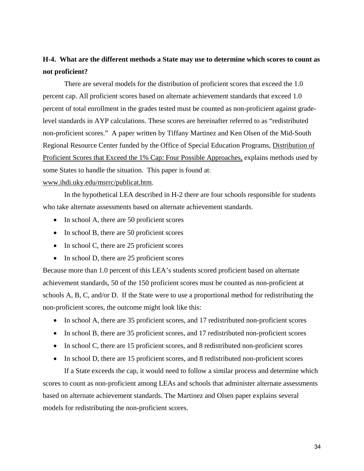### **H-4. What are the different methods a State may use to determine which scores to count as not proficient?**

There are several models for the distribution of proficient scores that exceed the 1.0 percent cap. All proficient scores based on alternate achievement standards that exceed 1.0 percent of total enrollment in the grades tested must be counted as non-proficient against gradelevel standards in AYP calculations. These scores are hereinafter referred to as "redistributed non-proficient scores." A paper written by Tiffany Martinez and Ken Olsen of the Mid-South Regional Resource Center funded by the Office of Special Education Programs, Distribution of Proficient Scores that Exceed the 1% Cap: Four Possible Approaches, explains methods used by some States to handle the situation. This paper is found at: [www.ihdi.uky.edu/msrrc/publicat.htm](http://www.ihdi.uky.edu/msrrc/publicat.htm).

In the hypothetical LEA described in H-2 there are four schools responsible for students who take alternate assessments based on alternate achievement standards.

- In school A, there are 50 proficient scores
- In school B, there are 50 proficient scores
- In school C, there are 25 proficient scores
- In school D, there are 25 proficient scores

Because more than 1.0 percent of this LEA's students scored proficient based on alternate achievement standards, 50 of the 150 proficient scores must be counted as non-proficient at schools A, B, C, and/or D. If the State were to use a proportional method for redistributing the non-proficient scores, the outcome might look like this:

- In school A, there are 35 proficient scores, and 17 redistributed non-proficient scores
- In school B, there are 35 proficient scores, and 17 redistributed non-proficient scores
- In school C, there are 15 proficient scores, and 8 redistributed non-proficient scores
- In school D, there are 15 proficient scores, and 8 redistributed non-proficient scores

 If a State exceeds the cap, it would need to follow a similar process and determine which scores to count as non-proficient among LEAs and schools that administer alternate assessments based on alternate achievement standards. The Martinez and Olsen paper explains several models for redistributing the non-proficient scores.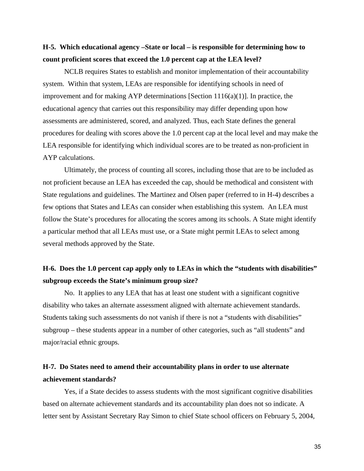### **H-5. Which educational agency –State or local – is responsible for determining how to count proficient scores that exceed the 1.0 percent cap at the LEA level?**

NCLB requires States to establish and monitor implementation of their accountability system. Within that system, LEAs are responsible for identifying schools in need of improvement and for making AYP determinations [Section 1116(a)(1)]. In practice, the educational agency that carries out this responsibility may differ depending upon how assessments are administered, scored, and analyzed. Thus, each State defines the general procedures for dealing with scores above the 1.0 percent cap at the local level and may make the LEA responsible for identifying which individual scores are to be treated as non-proficient in AYP calculations.

 Ultimately, the process of counting all scores, including those that are to be included as not proficient because an LEA has exceeded the cap, should be methodical and consistent with State regulations and guidelines. The Martinez and Olsen paper (referred to in H-4) describes a few options that States and LEAs can consider when establishing this system. An LEA must follow the State's procedures for allocating the scores among its schools. A State might identify a particular method that all LEAs must use, or a State might permit LEAs to select among several methods approved by the State.

### **H-6. Does the 1.0 percent cap apply only to LEAs in which the "students with disabilities" subgroup exceeds the State's minimum group size?**

No. It applies to any LEA that has at least one student with a significant cognitive disability who takes an alternate assessment aligned with alternate achievement standards. Students taking such assessments do not vanish if there is not a "students with disabilities" subgroup – these students appear in a number of other categories, such as "all students" and major/racial ethnic groups.

### **H-7. Do States need to amend their accountability plans in order to use alternate achievement standards?**

Yes, if a State decides to assess students with the most significant cognitive disabilities based on alternate achievement standards and its accountability plan does not so indicate. A letter sent by Assistant Secretary Ray Simon to chief State school officers on February 5, 2004,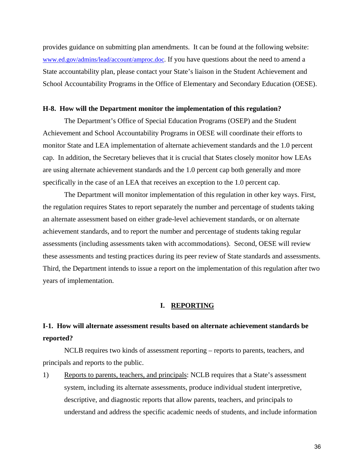provides guidance on submitting plan amendments. It can be found at the following website: [www.ed.gov/admins/lead/account/amproc.doc](http://www.ed.gov/admins/lead/account/amproc.doc). If you have questions about the need to amend a State accountability plan, please contact your State's liaison in the Student Achievement and School Accountability Programs in the Office of Elementary and Secondary Education (OESE).

#### **H-8. How will the Department monitor the implementation of this regulation?**

The Department's Office of Special Education Programs (OSEP) and the Student Achievement and School Accountability Programs in OESE will coordinate their efforts to monitor State and LEA implementation of alternate achievement standards and the 1.0 percent cap. In addition, the Secretary believes that it is crucial that States closely monitor how LEAs are using alternate achievement standards and the 1.0 percent cap both generally and more specifically in the case of an LEA that receives an exception to the 1.0 percent cap.

The Department will monitor implementation of this regulation in other key ways. First, the regulation requires States to report separately the number and percentage of students taking an alternate assessment based on either grade-level achievement standards, or on alternate achievement standards, and to report the number and percentage of students taking regular assessments (including assessments taken with accommodations). Second, OESE will review these assessments and testing practices during its peer review of State standards and assessments. Third, the Department intends to issue a report on the implementation of this regulation after two years of implementation.

#### **I. REPORTING**

## **I-1. How will alternate assessment results based on alternate achievement standards be reported?**

NCLB requires two kinds of assessment reporting – reports to parents, teachers, and principals and reports to the public.

1) Reports to parents, teachers, and principals: NCLB requires that a State's assessment system, including its alternate assessments, produce individual student interpretive, descriptive, and diagnostic reports that allow parents, teachers, and principals to understand and address the specific academic needs of students, and include information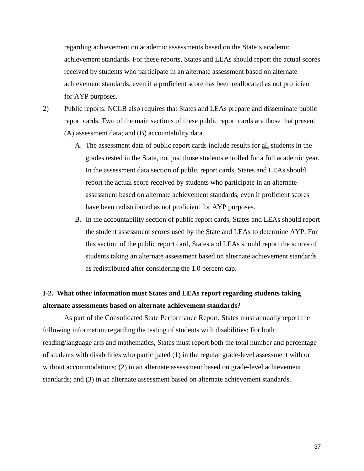regarding achievement on academic assessments based on the State's academic achievement standards. For these reports, States and LEAs should report the actual scores received by students who participate in an alternate assessment based on alternate achievement standards, even if a proficient score has been reallocated as not proficient for AYP purposes.

2) Public reports: NCLB also requires that States and LEAs prepare and disseminate public report cards. Two of the main sections of these public report cards are those that present (A) assessment data; and (B) accountability data.

- A. The assessment data of public report cards include results for all students in the grades tested in the State, not just those students enrolled for a full academic year. In the assessment data section of public report cards, States and LEAs should report the actual score received by students who participate in an alternate assessment based on alternate achievement standards, even if proficient scores have been redistributed as not proficient for AYP purposes.
- B. In the accountability section of public report cards, States and LEAs should report the student assessment scores used by the State and LEAs to determine AYP. For this section of the public report card, States and LEAs should report the scores of students taking an alternate assessment based on alternate achievement standards as redistributed after considering the 1.0 percent cap.

### **I-2. What other information must States and LEAs report regarding students taking alternate assessments based on alternate achievement standards?**

As part of the Consolidated State Performance Report, States must annually report the following information regarding the testing of students with disabilities: For both reading/language arts and mathematics, States must report both the total number and percentage of students with disabilities who participated (1) in the regular grade-level assessment with or without accommodations; (2) in an alternate assessment based on grade-level achievement standards; and (3) in an alternate assessment based on alternate achievement standards.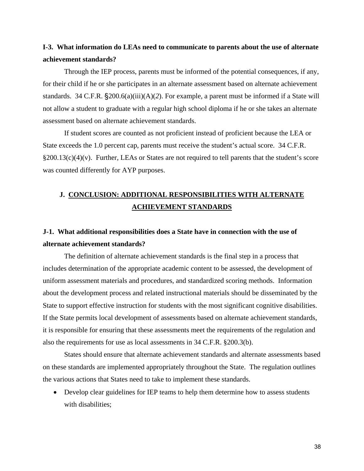### **I-3. What information do LEAs need to communicate to parents about the use of alternate achievement standards?**

Through the IEP process, parents must be informed of the potential consequences, if any, for their child if he or she participates in an alternate assessment based on alternate achievement standards. 34 C.F.R. §200.6(a)(iii)(A)(*2*). For example, a parent must be informed if a State will not allow a student to graduate with a regular high school diploma if he or she takes an alternate assessment based on alternate achievement standards.

If student scores are counted as not proficient instead of proficient because the LEA or State exceeds the 1.0 percent cap, parents must receive the student's actual score. 34 C.F.R. §200.13(c)(4)(v). Further, LEAs or States are not required to tell parents that the student's score was counted differently for AYP purposes.

### **J. CONCLUSION: ADDITIONAL RESPONSIBILITIES WITH ALTERNATE ACHIEVEMENT STANDARDS**

### **J-1. What additional responsibilities does a State have in connection with the use of alternate achievement standards?**

The definition of alternate achievement standards is the final step in a process that includes determination of the appropriate academic content to be assessed, the development of uniform assessment materials and procedures, and standardized scoring methods. Information about the development process and related instructional materials should be disseminated by the State to support effective instruction for students with the most significant cognitive disabilities. If the State permits local development of assessments based on alternate achievement standards, it is responsible for ensuring that these assessments meet the requirements of the regulation and also the requirements for use as local assessments in 34 C.F.R. §200.3(b).

States should ensure that alternate achievement standards and alternate assessments based on these standards are implemented appropriately throughout the State. The regulation outlines the various actions that States need to take to implement these standards.

• Develop clear guidelines for IEP teams to help them determine how to assess students with disabilities: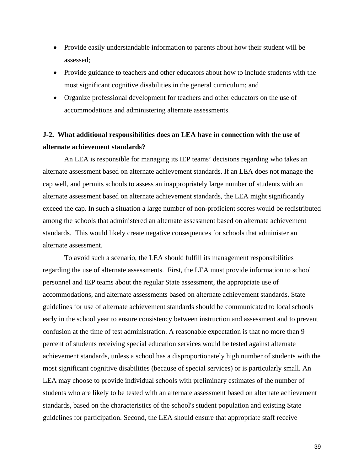- Provide easily understandable information to parents about how their student will be assessed;
- Provide guidance to teachers and other educators about how to include students with the most significant cognitive disabilities in the general curriculum; and
- Organize professional development for teachers and other educators on the use of accommodations and administering alternate assessments.

### **J-2. What additional responsibilities does an LEA have in connection with the use of alternate achievement standards?**

An LEA is responsible for managing its IEP teams' decisions regarding who takes an alternate assessment based on alternate achievement standards. If an LEA does not manage the cap well, and permits schools to assess an inappropriately large number of students with an alternate assessment based on alternate achievement standards, the LEA might significantly exceed the cap. In such a situation a large number of non-proficient scores would be redistributed among the schools that administered an alternate assessment based on alternate achievement standards. This would likely create negative consequences for schools that administer an alternate assessment.

To avoid such a scenario, the LEA should fulfill its management responsibilities regarding the use of alternate assessments. First, the LEA must provide information to school personnel and IEP teams about the regular State assessment, the appropriate use of accommodations, and alternate assessments based on alternate achievement standards. State guidelines for use of alternate achievement standards should be communicated to local schools early in the school year to ensure consistency between instruction and assessment and to prevent confusion at the time of test administration. A reasonable expectation is that no more than 9 percent of students receiving special education services would be tested against alternate achievement standards, unless a school has a disproportionately high number of students with the most significant cognitive disabilities (because of special services) or is particularly small. An LEA may choose to provide individual schools with preliminary estimates of the number of students who are likely to be tested with an alternate assessment based on alternate achievement standards, based on the characteristics of the school's student population and existing State guidelines for participation. Second, the LEA should ensure that appropriate staff receive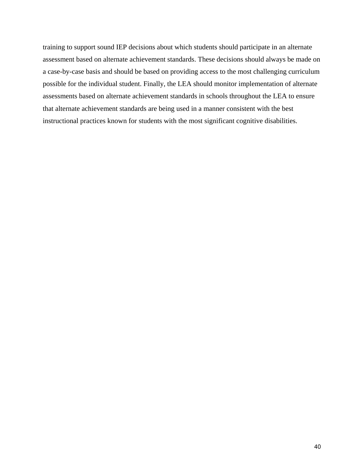training to support sound IEP decisions about which students should participate in an alternate assessment based on alternate achievement standards. These decisions should always be made on a case-by-case basis and should be based on providing access to the most challenging curriculum possible for the individual student. Finally, the LEA should monitor implementation of alternate assessments based on alternate achievement standards in schools throughout the LEA to ensure that alternate achievement standards are being used in a manner consistent with the best instructional practices known for students with the most significant cognitive disabilities.